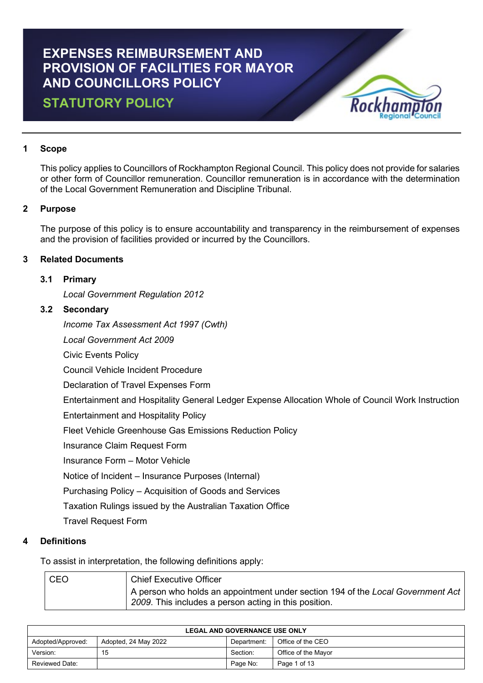# **EXPENSES REIMBURSEMENT AND PROVISION OF FACILITIES FOR MAYOR AND COUNCILLORS POLICY**

## **STATUTORY POLICY**



## **1 Scope**

This policy applies to Councillors of Rockhampton Regional Council. This policy does not provide for salaries or other form of Councillor remuneration. Councillor remuneration is in accordance with the determination of the Local Government Remuneration and Discipline Tribunal.

## **2 Purpose**

The purpose of this policy is to ensure accountability and transparency in the reimbursement of expenses and the provision of facilities provided or incurred by the Councillors.

## **3 Related Documents**

## **3.1 Primary**

*Local Government Regulation 2012*

## **3.2 Secondary**

*Income Tax Assessment Act 1997 (Cwth)*

*Local Government Act 2009*

Civic Events Policy

Council Vehicle Incident Procedure

Declaration of Travel Expenses Form

Entertainment and Hospitality General Ledger Expense Allocation Whole of Council Work Instruction

Entertainment and Hospitality Policy

Fleet Vehicle Greenhouse Gas Emissions Reduction Policy

Insurance Claim Request Form

Insurance Form – Motor Vehicle

Notice of Incident – Insurance Purposes (Internal)

Purchasing Policy – Acquisition of Goods and Services

Taxation Rulings issued by the Australian Taxation Office

Travel Request Form

## **4 Definitions**

To assist in interpretation, the following definitions apply:

| <b>CEO</b> | <b>Chief Executive Officer</b>                                                                                                           |
|------------|------------------------------------------------------------------------------------------------------------------------------------------|
|            | A person who holds an appointment under section 194 of the Local Government Act<br>2009. This includes a person acting in this position. |

| <b>LEGAL AND GOVERNANCE USE ONLY</b> |                      |             |                     |
|--------------------------------------|----------------------|-------------|---------------------|
| Adopted/Approved:                    | Adopted, 24 May 2022 | Department: | Office of the CEO   |
| Version:                             | 15                   | Section:    | Office of the Mayor |
| Reviewed Date:                       |                      | Page No:    | Page 1 of 13        |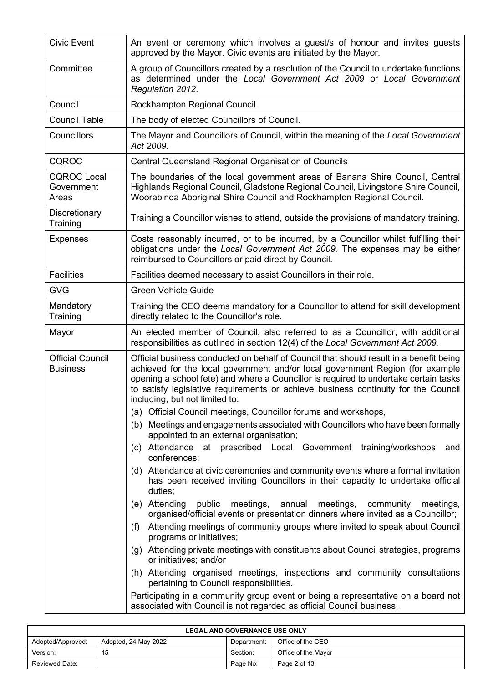| <b>Civic Event</b>                         | An event or ceremony which involves a guest/s of honour and invites guests<br>approved by the Mayor. Civic events are initiated by the Mayor.                                                                                                                                                                                                                                           |  |  |
|--------------------------------------------|-----------------------------------------------------------------------------------------------------------------------------------------------------------------------------------------------------------------------------------------------------------------------------------------------------------------------------------------------------------------------------------------|--|--|
| Committee                                  | A group of Councillors created by a resolution of the Council to undertake functions<br>as determined under the Local Government Act 2009 or Local Government<br>Regulation 2012.                                                                                                                                                                                                       |  |  |
| Council                                    | Rockhampton Regional Council                                                                                                                                                                                                                                                                                                                                                            |  |  |
| <b>Council Table</b>                       | The body of elected Councillors of Council.                                                                                                                                                                                                                                                                                                                                             |  |  |
| Councillors                                | The Mayor and Councillors of Council, within the meaning of the Local Government<br>Act 2009.                                                                                                                                                                                                                                                                                           |  |  |
| CQROC                                      | Central Queensland Regional Organisation of Councils                                                                                                                                                                                                                                                                                                                                    |  |  |
| <b>CQROC Local</b><br>Government<br>Areas  | The boundaries of the local government areas of Banana Shire Council, Central<br>Highlands Regional Council, Gladstone Regional Council, Livingstone Shire Council,<br>Woorabinda Aboriginal Shire Council and Rockhampton Regional Council.                                                                                                                                            |  |  |
| Discretionary<br>Training                  | Training a Councillor wishes to attend, outside the provisions of mandatory training.                                                                                                                                                                                                                                                                                                   |  |  |
| <b>Expenses</b>                            | Costs reasonably incurred, or to be incurred, by a Councillor whilst fulfilling their<br>obligations under the Local Government Act 2009. The expenses may be either<br>reimbursed to Councillors or paid direct by Council.                                                                                                                                                            |  |  |
| <b>Facilities</b>                          | Facilities deemed necessary to assist Councillors in their role.                                                                                                                                                                                                                                                                                                                        |  |  |
| <b>GVG</b>                                 | <b>Green Vehicle Guide</b>                                                                                                                                                                                                                                                                                                                                                              |  |  |
| Mandatory<br>Training                      | Training the CEO deems mandatory for a Councillor to attend for skill development<br>directly related to the Councillor's role.                                                                                                                                                                                                                                                         |  |  |
| Mayor                                      | An elected member of Council, also referred to as a Councillor, with additional<br>responsibilities as outlined in section 12(4) of the Local Government Act 2009.                                                                                                                                                                                                                      |  |  |
| <b>Official Council</b><br><b>Business</b> | Official business conducted on behalf of Council that should result in a benefit being<br>achieved for the local government and/or local government Region (for example<br>opening a school fete) and where a Councillor is required to undertake certain tasks<br>to satisfy legislative requirements or achieve business continuity for the Council<br>including, but not limited to: |  |  |
|                                            | (a) Official Council meetings, Councillor forums and workshops,                                                                                                                                                                                                                                                                                                                         |  |  |
|                                            | (b) Meetings and engagements associated with Councillors who have been formally<br>appointed to an external organisation;                                                                                                                                                                                                                                                               |  |  |
|                                            | (c) Attendance at prescribed Local Government training/workshops<br>and<br>conferences;                                                                                                                                                                                                                                                                                                 |  |  |
|                                            | (d) Attendance at civic ceremonies and community events where a formal invitation<br>has been received inviting Councillors in their capacity to undertake official<br>duties;                                                                                                                                                                                                          |  |  |
|                                            | (e) Attending public meetings,<br>annual<br>meetings,<br>community meetings,<br>organised/official events or presentation dinners where invited as a Councillor;                                                                                                                                                                                                                        |  |  |
|                                            | Attending meetings of community groups where invited to speak about Council<br>(f)<br>programs or initiatives;                                                                                                                                                                                                                                                                          |  |  |
|                                            | (g) Attending private meetings with constituents about Council strategies, programs<br>or initiatives; and/or                                                                                                                                                                                                                                                                           |  |  |
|                                            | (h) Attending organised meetings, inspections and community consultations<br>pertaining to Council responsibilities.                                                                                                                                                                                                                                                                    |  |  |
|                                            | Participating in a community group event or being a representative on a board not<br>associated with Council is not regarded as official Council business.                                                                                                                                                                                                                              |  |  |

| <b>LEGAL AND GOVERNANCE USE ONLY</b>                                          |    |          |                     |  |
|-------------------------------------------------------------------------------|----|----------|---------------------|--|
| Office of the CEO<br>Adopted, 24 May 2022<br>Adopted/Approved:<br>Department: |    |          |                     |  |
| Version:                                                                      | 15 | Section: | Office of the Mavor |  |
| <b>Reviewed Date:</b>                                                         |    | Page No: | Page 2 of 13        |  |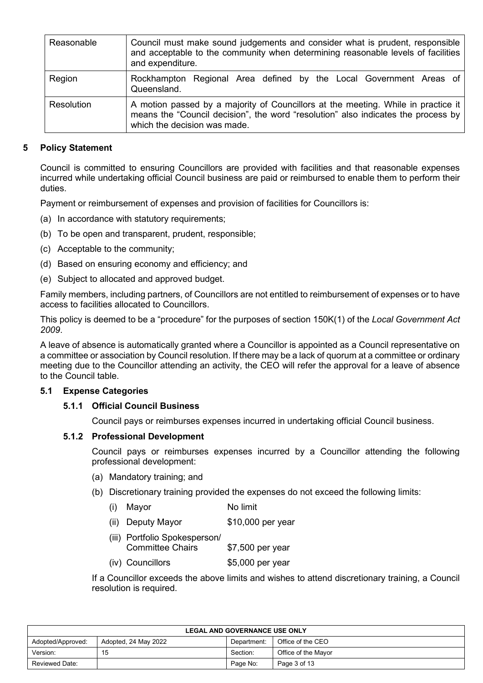| Reasonable | Council must make sound judgements and consider what is prudent, responsible<br>and acceptable to the community when determining reasonable levels of facilities<br>and expenditure.                   |
|------------|--------------------------------------------------------------------------------------------------------------------------------------------------------------------------------------------------------|
| Region     | Rockhampton Regional Area defined by the Local Government Areas of<br>Queensland.                                                                                                                      |
| Resolution | A motion passed by a majority of Councillors at the meeting. While in practice it<br>means the "Council decision", the word "resolution" also indicates the process by<br>which the decision was made. |

## **5 Policy Statement**

Council is committed to ensuring Councillors are provided with facilities and that reasonable expenses incurred while undertaking official Council business are paid or reimbursed to enable them to perform their duties.

Payment or reimbursement of expenses and provision of facilities for Councillors is:

- (a) In accordance with statutory requirements;
- (b) To be open and transparent, prudent, responsible;
- (c) Acceptable to the community;
- (d) Based on ensuring economy and efficiency; and
- (e) Subject to allocated and approved budget.

Family members, including partners, of Councillors are not entitled to reimbursement of expenses or to have access to facilities allocated to Councillors.

This policy is deemed to be a "procedure" for the purposes of section 150K(1) of the *Local Government Act 2009*.

A leave of absence is automatically granted where a Councillor is appointed as a Council representative on a committee or association by Council resolution. If there may be a lack of quorum at a committee or ordinary meeting due to the Councillor attending an activity, the CEO will refer the approval for a leave of absence to the Council table.

## **5.1 Expense Categories**

## **5.1.1 Official Council Business**

Council pays or reimburses expenses incurred in undertaking official Council business.

## **5.1.2 Professional Development**

Council pays or reimburses expenses incurred by a Councillor attending the following professional development:

- (a) Mandatory training; and
- (b) Discretionary training provided the expenses do not exceed the following limits:
	- (i) Mayor No limit
	- (ii) Deputy Mayor \$10,000 per year
	- (iii) Portfolio Spokesperson/ Committee Chairs \$7,500 per year
	- (iv) Councillors \$5,000 per year

If a Councillor exceeds the above limits and wishes to attend discretionary training, a Council resolution is required.

| <b>LEGAL AND GOVERNANCE USE ONLY</b>                                          |    |          |                     |  |
|-------------------------------------------------------------------------------|----|----------|---------------------|--|
| Office of the CEO<br>Adopted, 24 May 2022<br>Adopted/Approved:<br>Department: |    |          |                     |  |
| Version:                                                                      | 15 | Section: | Office of the Mayor |  |
| Reviewed Date:                                                                |    | Page No: | Page 3 of 13        |  |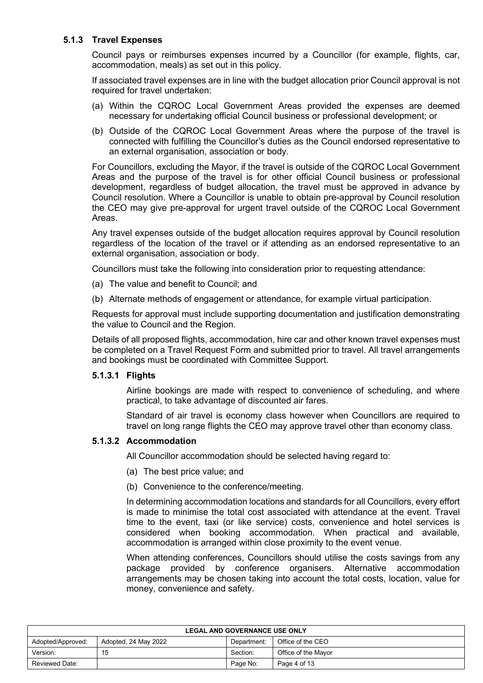## **5.1.3 Travel Expenses**

Council pays or reimburses expenses incurred by a Councillor (for example, flights, car, accommodation, meals) as set out in this policy.

If associated travel expenses are in line with the budget allocation prior Council approval is not required for travel undertaken:

- (a) Within the CQROC Local Government Areas provided the expenses are deemed necessary for undertaking official Council business or professional development; or
- (b) Outside of the CQROC Local Government Areas where the purpose of the travel is connected with fulfilling the Councillor's duties as the Council endorsed representative to an external organisation, association or body.

For Councillors, excluding the Mayor, if the travel is outside of the CQROC Local Government Areas and the purpose of the travel is for other official Council business or professional development, regardless of budget allocation, the travel must be approved in advance by Council resolution. Where a Councillor is unable to obtain pre-approval by Council resolution the CEO may give pre-approval for urgent travel outside of the CQROC Local Government Areas.

Any travel expenses outside of the budget allocation requires approval by Council resolution regardless of the location of the travel or if attending as an endorsed representative to an external organisation, association or body.

Councillors must take the following into consideration prior to requesting attendance:

- (a) The value and benefit to Council; and
- (b) Alternate methods of engagement or attendance, for example virtual participation.

Requests for approval must include supporting documentation and justification demonstrating the value to Council and the Region.

Details of all proposed flights, accommodation, hire car and other known travel expenses must be completed on a Travel Request Form and submitted prior to travel. All travel arrangements and bookings must be coordinated with Committee Support.

## **5.1.3.1 Flights**

Airline bookings are made with respect to convenience of scheduling, and where practical, to take advantage of discounted air fares.

Standard of air travel is economy class however when Councillors are required to travel on long range flights the CEO may approve travel other than economy class.

#### **5.1.3.2 Accommodation**

All Councillor accommodation should be selected having regard to:

- (a) The best price value; and
- (b) Convenience to the conference/meeting.

In determining accommodation locations and standards for all Councillors, every effort is made to minimise the total cost associated with attendance at the event. Travel time to the event, taxi (or like service) costs, convenience and hotel services is considered when booking accommodation. When practical and available, accommodation is arranged within close proximity to the event venue.

When attending conferences, Councillors should utilise the costs savings from any package provided by conference organisers. Alternative accommodation arrangements may be chosen taking into account the total costs, location, value for money, convenience and safety.

| <b>LEGAL AND GOVERNANCE USE ONLY</b>                                          |    |          |                     |  |
|-------------------------------------------------------------------------------|----|----------|---------------------|--|
| Office of the CEO<br>Adopted/Approved:<br>Adopted, 24 May 2022<br>Department: |    |          |                     |  |
| Version:                                                                      | 15 | Section: | Office of the Mavor |  |
| Page No:<br><b>Reviewed Date:</b><br>Page 4 of 13                             |    |          |                     |  |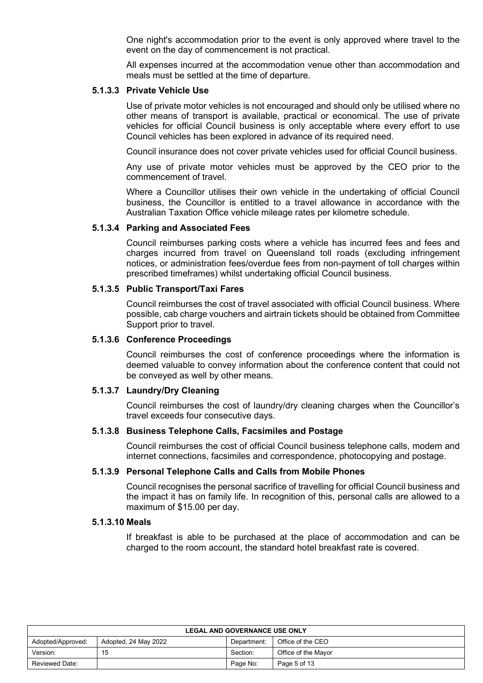One night's accommodation prior to the event is only approved where travel to the event on the day of commencement is not practical.

All expenses incurred at the accommodation venue other than accommodation and meals must be settled at the time of departure.

#### **5.1.3.3 Private Vehicle Use**

Use of private motor vehicles is not encouraged and should only be utilised where no other means of transport is available, practical or economical. The use of private vehicles for official Council business is only acceptable where every effort to use Council vehicles has been explored in advance of its required need.

Council insurance does not cover private vehicles used for official Council business.

Any use of private motor vehicles must be approved by the CEO prior to the commencement of travel.

Where a Councillor utilises their own vehicle in the undertaking of official Council business, the Councillor is entitled to a travel allowance in accordance with the Australian Taxation Office vehicle mileage rates per kilometre schedule.

#### **5.1.3.4 Parking and Associated Fees**

Council reimburses parking costs where a vehicle has incurred fees and fees and charges incurred from travel on Queensland toll roads (excluding infringement notices, or administration fees/overdue fees from non-payment of toll charges within prescribed timeframes) whilst undertaking official Council business.

#### **5.1.3.5 Public Transport/Taxi Fares**

Council reimburses the cost of travel associated with official Council business. Where possible, cab charge vouchers and airtrain tickets should be obtained from Committee Support prior to travel.

#### **5.1.3.6 Conference Proceedings**

Council reimburses the cost of conference proceedings where the information is deemed valuable to convey information about the conference content that could not be conveyed as well by other means.

#### **5.1.3.7 Laundry/Dry Cleaning**

Council reimburses the cost of laundry/dry cleaning charges when the Councillor's travel exceeds four consecutive days.

## **5.1.3.8 Business Telephone Calls, Facsimiles and Postage**

Council reimburses the cost of official Council business telephone calls, modem and internet connections, facsimiles and correspondence, photocopying and postage.

#### **5.1.3.9 Personal Telephone Calls and Calls from Mobile Phones**

Council recognises the personal sacrifice of travelling for official Council business and the impact it has on family life. In recognition of this, personal calls are allowed to a maximum of \$15.00 per day.

#### **5.1.3.10 Meals**

If breakfast is able to be purchased at the place of accommodation and can be charged to the room account, the standard hotel breakfast rate is covered.

| <b>LEGAL AND GOVERNANCE USE ONLY</b>                                          |    |          |                     |  |
|-------------------------------------------------------------------------------|----|----------|---------------------|--|
| Adopted, 24 May 2022<br>Office of the CEO<br>Adopted/Approved:<br>Department: |    |          |                     |  |
| Version:                                                                      | 15 | Section: | Office of the Mayor |  |
| <b>Reviewed Date:</b>                                                         |    | Page No: | Page 5 of 13        |  |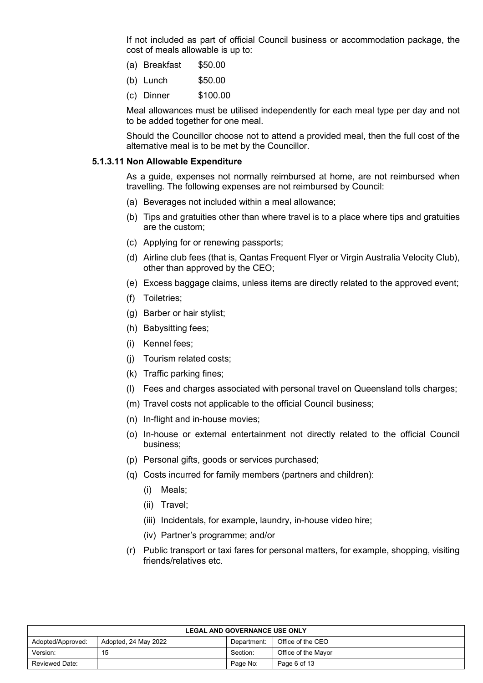If not included as part of official Council business or accommodation package, the cost of meals allowable is up to:

- (a) Breakfast \$50.00
- (b) Lunch \$50.00
- (c) Dinner \$100.00

Meal allowances must be utilised independently for each meal type per day and not to be added together for one meal.

Should the Councillor choose not to attend a provided meal, then the full cost of the alternative meal is to be met by the Councillor.

#### **5.1.3.11 Non Allowable Expenditure**

As a guide, expenses not normally reimbursed at home, are not reimbursed when travelling. The following expenses are not reimbursed by Council:

- (a) Beverages not included within a meal allowance;
- (b) Tips and gratuities other than where travel is to a place where tips and gratuities are the custom;
- (c) Applying for or renewing passports;
- (d) Airline club fees (that is, Qantas Frequent Flyer or Virgin Australia Velocity Club), other than approved by the CEO;
- (e) Excess baggage claims, unless items are directly related to the approved event;
- (f) Toiletries;
- (g) Barber or hair stylist;
- (h) Babysitting fees;
- (i) Kennel fees;
- (j) Tourism related costs;
- (k) Traffic parking fines;
- (l) Fees and charges associated with personal travel on Queensland tolls charges;
- (m) Travel costs not applicable to the official Council business;
- (n) In-flight and in-house movies;
- (o) In-house or external entertainment not directly related to the official Council business;
- (p) Personal gifts, goods or services purchased;
- (q) Costs incurred for family members (partners and children):
	- (i) Meals;
	- (ii) Travel;
	- (iii) Incidentals, for example, laundry, in-house video hire;
	- (iv) Partner's programme; and/or
- (r) Public transport or taxi fares for personal matters, for example, shopping, visiting friends/relatives etc.

| <b>LEGAL AND GOVERNANCE USE ONLY</b>                                          |    |          |                     |  |
|-------------------------------------------------------------------------------|----|----------|---------------------|--|
| Office of the CEO<br>Adopted, 24 May 2022<br>Adopted/Approved:<br>Department: |    |          |                     |  |
| Version:                                                                      | 15 | Section: | Office of the Mayor |  |
| <b>Reviewed Date:</b><br>Page No:<br>Page 6 of 13                             |    |          |                     |  |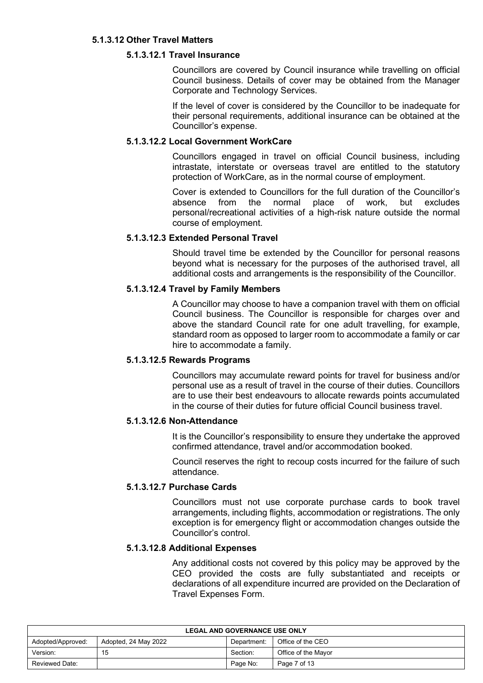## **5.1.3.12 Other Travel Matters**

## **5.1.3.12.1 Travel Insurance**

Councillors are covered by Council insurance while travelling on official Council business. Details of cover may be obtained from the Manager Corporate and Technology Services.

If the level of cover is considered by the Councillor to be inadequate for their personal requirements, additional insurance can be obtained at the Councillor's expense.

#### **5.1.3.12.2 Local Government WorkCare**

Councillors engaged in travel on official Council business, including intrastate, interstate or overseas travel are entitled to the statutory protection of WorkCare, as in the normal course of employment.

Cover is extended to Councillors for the full duration of the Councillor's absence from the normal place of work, but excludes personal/recreational activities of a high-risk nature outside the normal course of employment.

## **5.1.3.12.3 Extended Personal Travel**

Should travel time be extended by the Councillor for personal reasons beyond what is necessary for the purposes of the authorised travel, all additional costs and arrangements is the responsibility of the Councillor.

#### **5.1.3.12.4 Travel by Family Members**

A Councillor may choose to have a companion travel with them on official Council business. The Councillor is responsible for charges over and above the standard Council rate for one adult travelling, for example, standard room as opposed to larger room to accommodate a family or car hire to accommodate a family.

#### **5.1.3.12.5 Rewards Programs**

Councillors may accumulate reward points for travel for business and/or personal use as a result of travel in the course of their duties. Councillors are to use their best endeavours to allocate rewards points accumulated in the course of their duties for future official Council business travel.

## **5.1.3.12.6 Non-Attendance**

It is the Councillor's responsibility to ensure they undertake the approved confirmed attendance, travel and/or accommodation booked.

Council reserves the right to recoup costs incurred for the failure of such attendance.

## **5.1.3.12.7 Purchase Cards**

Councillors must not use corporate purchase cards to book travel arrangements, including flights, accommodation or registrations. The only exception is for emergency flight or accommodation changes outside the Councillor's control.

#### **5.1.3.12.8 Additional Expenses**

Any additional costs not covered by this policy may be approved by the CEO provided the costs are fully substantiated and receipts or declarations of all expenditure incurred are provided on the Declaration of Travel Expenses Form.

| <b>LEGAL AND GOVERNANCE USE ONLY</b> |                      |             |                     |
|--------------------------------------|----------------------|-------------|---------------------|
| Adopted/Approved:                    | Adopted, 24 May 2022 | Department: | Office of the CEO   |
| Version:                             | 15                   | Section:    | Office of the Mayor |
| Reviewed Date:                       |                      | Page No:    | Page 7 of 13        |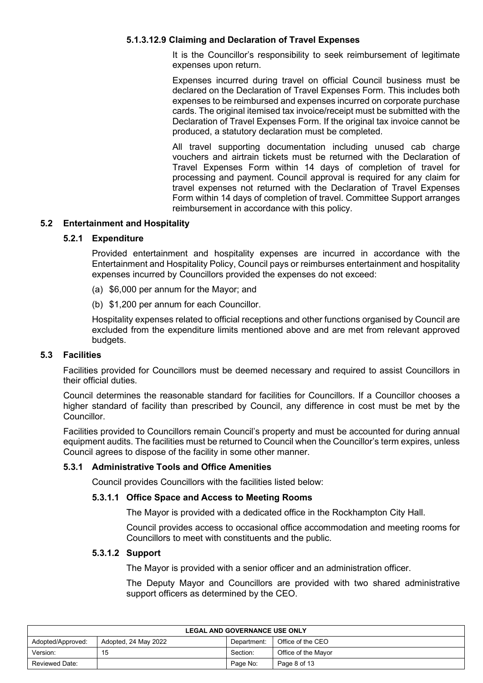## **5.1.3.12.9 Claiming and Declaration of Travel Expenses**

It is the Councillor's responsibility to seek reimbursement of legitimate expenses upon return.

Expenses incurred during travel on official Council business must be declared on the Declaration of Travel Expenses Form. This includes both expenses to be reimbursed and expenses incurred on corporate purchase cards. The original itemised tax invoice/receipt must be submitted with the Declaration of Travel Expenses Form. If the original tax invoice cannot be produced, a statutory declaration must be completed.

All travel supporting documentation including unused cab charge vouchers and airtrain tickets must be returned with the Declaration of Travel Expenses Form within 14 days of completion of travel for processing and payment. Council approval is required for any claim for travel expenses not returned with the Declaration of Travel Expenses Form within 14 days of completion of travel. Committee Support arranges reimbursement in accordance with this policy.

#### **5.2 Entertainment and Hospitality**

#### **5.2.1 Expenditure**

Provided entertainment and hospitality expenses are incurred in accordance with the Entertainment and Hospitality Policy, Council pays or reimburses entertainment and hospitality expenses incurred by Councillors provided the expenses do not exceed:

- (a) \$6,000 per annum for the Mayor; and
- (b) \$1,200 per annum for each Councillor.

Hospitality expenses related to official receptions and other functions organised by Council are excluded from the expenditure limits mentioned above and are met from relevant approved budgets.

#### **5.3 Facilities**

Facilities provided for Councillors must be deemed necessary and required to assist Councillors in their official duties.

Council determines the reasonable standard for facilities for Councillors. If a Councillor chooses a higher standard of facility than prescribed by Council, any difference in cost must be met by the Councillor.

Facilities provided to Councillors remain Council's property and must be accounted for during annual equipment audits. The facilities must be returned to Council when the Councillor's term expires, unless Council agrees to dispose of the facility in some other manner.

#### **5.3.1 Administrative Tools and Office Amenities**

Council provides Councillors with the facilities listed below:

#### **5.3.1.1 Office Space and Access to Meeting Rooms**

The Mayor is provided with a dedicated office in the Rockhampton City Hall.

Council provides access to occasional office accommodation and meeting rooms for Councillors to meet with constituents and the public.

#### **5.3.1.2 Support**

The Mayor is provided with a senior officer and an administration officer.

The Deputy Mayor and Councillors are provided with two shared administrative support officers as determined by the CEO.

| <b>LEGAL AND GOVERNANCE USE ONLY</b> |                      |             |                     |
|--------------------------------------|----------------------|-------------|---------------------|
| Adopted/Approved:                    | Adopted, 24 May 2022 | Department: | Office of the CEO   |
| Version:                             | 15                   | Section:    | Office of the Mavor |
| <b>Reviewed Date:</b>                |                      | Page No:    | Page 8 of 13        |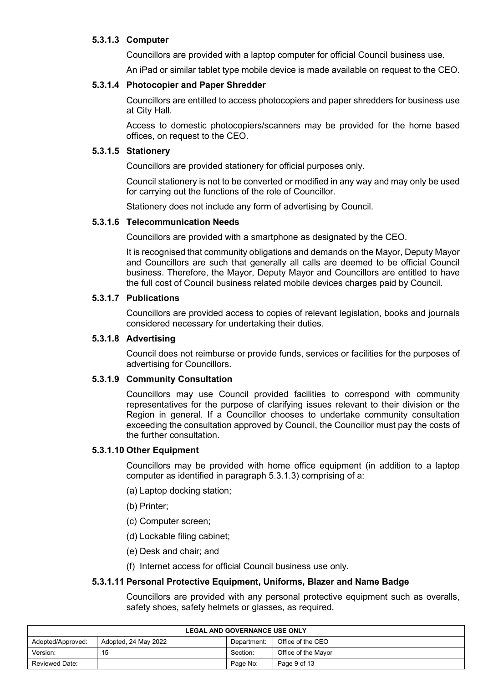## **5.3.1.3 Computer**

Councillors are provided with a laptop computer for official Council business use.

An iPad or similar tablet type mobile device is made available on request to the CEO.

## **5.3.1.4 Photocopier and Paper Shredder**

Councillors are entitled to access photocopiers and paper shredders for business use at City Hall.

Access to domestic photocopiers/scanners may be provided for the home based offices, on request to the CEO.

#### **5.3.1.5 Stationery**

Councillors are provided stationery for official purposes only.

Council stationery is not to be converted or modified in any way and may only be used for carrying out the functions of the role of Councillor.

Stationery does not include any form of advertising by Council.

#### **5.3.1.6 Telecommunication Needs**

Councillors are provided with a smartphone as designated by the CEO.

It is recognised that community obligations and demands on the Mayor, Deputy Mayor and Councillors are such that generally all calls are deemed to be official Council business. Therefore, the Mayor, Deputy Mayor and Councillors are entitled to have the full cost of Council business related mobile devices charges paid by Council.

## **5.3.1.7 Publications**

Councillors are provided access to copies of relevant legislation, books and journals considered necessary for undertaking their duties.

#### **5.3.1.8 Advertising**

Council does not reimburse or provide funds, services or facilities for the purposes of advertising for Councillors.

## **5.3.1.9 Community Consultation**

Councillors may use Council provided facilities to correspond with community representatives for the purpose of clarifying issues relevant to their division or the Region in general. If a Councillor chooses to undertake community consultation exceeding the consultation approved by Council, the Councillor must pay the costs of the further consultation.

#### **5.3.1.10 Other Equipment**

Councillors may be provided with home office equipment (in addition to a laptop computer as identified in paragraph 5.3.1.3) comprising of a:

- (a) Laptop docking station;
- (b) Printer;
- (c) Computer screen;
- (d) Lockable filing cabinet;
- (e) Desk and chair; and
- (f) Internet access for official Council business use only.

#### **5.3.1.11 Personal Protective Equipment, Uniforms, Blazer and Name Badge**

Councillors are provided with any personal protective equipment such as overalls, safety shoes, safety helmets or glasses, as required.

| <b>LEGAL AND GOVERNANCE USE ONLY</b>                                          |    |          |                     |  |
|-------------------------------------------------------------------------------|----|----------|---------------------|--|
| Office of the CEO<br>Adopted, 24 May 2022<br>Adopted/Approved:<br>Department: |    |          |                     |  |
| Version:                                                                      | 15 | Section: | Office of the Mavor |  |
| Reviewed Date:                                                                |    | Page No: | Page 9 of 13        |  |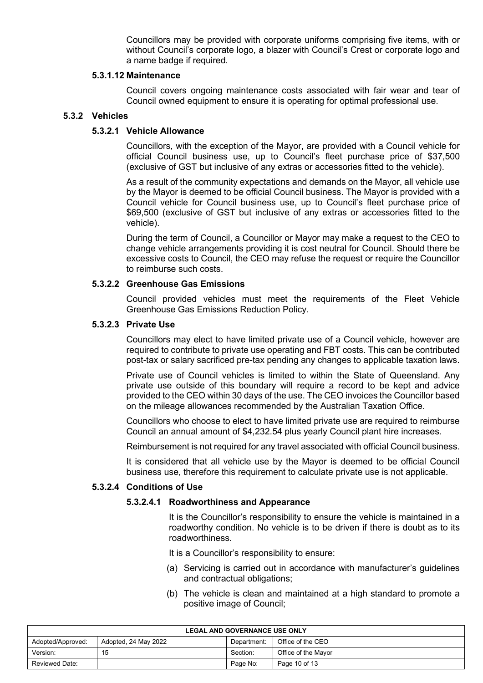Councillors may be provided with corporate uniforms comprising five items, with or without Council's corporate logo, a blazer with Council's Crest or corporate logo and a name badge if required.

#### **5.3.1.12 Maintenance**

Council covers ongoing maintenance costs associated with fair wear and tear of Council owned equipment to ensure it is operating for optimal professional use.

#### **5.3.2 Vehicles**

## **5.3.2.1 Vehicle Allowance**

Councillors, with the exception of the Mayor, are provided with a Council vehicle for official Council business use, up to Council's fleet purchase price of \$37,500 (exclusive of GST but inclusive of any extras or accessories fitted to the vehicle).

As a result of the community expectations and demands on the Mayor, all vehicle use by the Mayor is deemed to be official Council business. The Mayor is provided with a Council vehicle for Council business use, up to Council's fleet purchase price of \$69,500 (exclusive of GST but inclusive of any extras or accessories fitted to the vehicle).

During the term of Council, a Councillor or Mayor may make a request to the CEO to change vehicle arrangements providing it is cost neutral for Council. Should there be excessive costs to Council, the CEO may refuse the request or require the Councillor to reimburse such costs.

#### **5.3.2.2 Greenhouse Gas Emissions**

Council provided vehicles must meet the requirements of the Fleet Vehicle Greenhouse Gas Emissions Reduction Policy.

#### **5.3.2.3 Private Use**

Councillors may elect to have limited private use of a Council vehicle, however are required to contribute to private use operating and FBT costs. This can be contributed post-tax or salary sacrificed pre-tax pending any changes to applicable taxation laws.

Private use of Council vehicles is limited to within the State of Queensland. Any private use outside of this boundary will require a record to be kept and advice provided to the CEO within 30 days of the use. The CEO invoices the Councillor based on the mileage allowances recommended by the Australian Taxation Office.

Councillors who choose to elect to have limited private use are required to reimburse Council an annual amount of \$4,232.54 plus yearly Council plant hire increases.

Reimbursement is not required for any travel associated with official Council business.

It is considered that all vehicle use by the Mayor is deemed to be official Council business use, therefore this requirement to calculate private use is not applicable.

#### **5.3.2.4 Conditions of Use**

#### **5.3.2.4.1 Roadworthiness and Appearance**

It is the Councillor's responsibility to ensure the vehicle is maintained in a roadworthy condition. No vehicle is to be driven if there is doubt as to its roadworthiness.

It is a Councillor's responsibility to ensure:

- (a) Servicing is carried out in accordance with manufacturer's guidelines and contractual obligations;
- (b) The vehicle is clean and maintained at a high standard to promote a positive image of Council;

| <b>LEGAL AND GOVERNANCE USE ONLY</b> |                      |             |                     |  |
|--------------------------------------|----------------------|-------------|---------------------|--|
| Adopted/Approved:                    | Adopted, 24 May 2022 | Department: | Office of the CEO   |  |
| Version:                             | 15                   | Section:    | Office of the Mavor |  |
| Reviewed Date:                       |                      | Page No:    | Page 10 of 13       |  |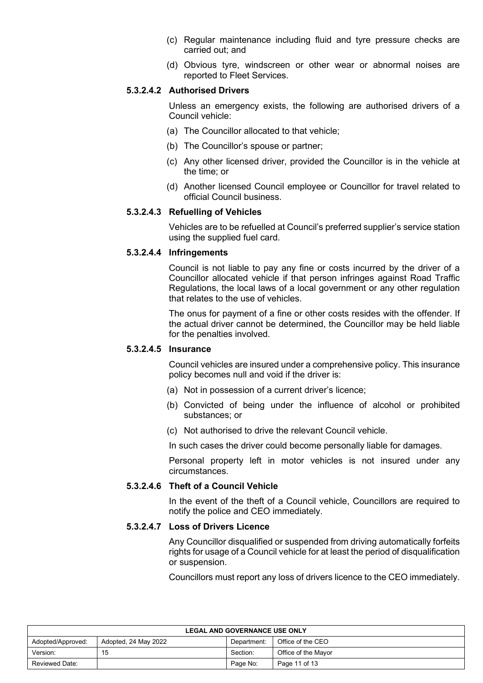- (c) Regular maintenance including fluid and tyre pressure checks are carried out; and
- (d) Obvious tyre, windscreen or other wear or abnormal noises are reported to Fleet Services.

#### **5.3.2.4.2 Authorised Drivers**

Unless an emergency exists, the following are authorised drivers of a Council vehicle:

- (a) The Councillor allocated to that vehicle;
- (b) The Councillor's spouse or partner;
- (c) Any other licensed driver, provided the Councillor is in the vehicle at the time; or
- (d) Another licensed Council employee or Councillor for travel related to official Council business.

#### **5.3.2.4.3 Refuelling of Vehicles**

Vehicles are to be refuelled at Council's preferred supplier's service station using the supplied fuel card.

#### **5.3.2.4.4 Infringements**

Council is not liable to pay any fine or costs incurred by the driver of a Councillor allocated vehicle if that person infringes against Road Traffic Regulations, the local laws of a local government or any other regulation that relates to the use of vehicles.

The onus for payment of a fine or other costs resides with the offender. If the actual driver cannot be determined, the Councillor may be held liable for the penalties involved.

#### **5.3.2.4.5 Insurance**

Council vehicles are insured under a comprehensive policy. This insurance policy becomes null and void if the driver is:

- (a) Not in possession of a current driver's licence;
- (b) Convicted of being under the influence of alcohol or prohibited substances; or
- (c) Not authorised to drive the relevant Council vehicle.

In such cases the driver could become personally liable for damages.

Personal property left in motor vehicles is not insured under any circumstances.

## **5.3.2.4.6 Theft of a Council Vehicle**

In the event of the theft of a Council vehicle, Councillors are required to notify the police and CEO immediately.

#### **5.3.2.4.7 Loss of Drivers Licence**

Any Councillor disqualified or suspended from driving automatically forfeits rights for usage of a Council vehicle for at least the period of disqualification or suspension.

Councillors must report any loss of drivers licence to the CEO immediately.

| <b>LEGAL AND GOVERNANCE USE ONLY</b> |                      |             |                     |  |  |
|--------------------------------------|----------------------|-------------|---------------------|--|--|
| Adopted/Approved:                    | Adopted, 24 May 2022 | Department: | Office of the CEO   |  |  |
| Version:                             | 15                   | Section:    | Office of the Mayor |  |  |
| <b>Reviewed Date:</b>                |                      | Page No:    | Page 11 of 13       |  |  |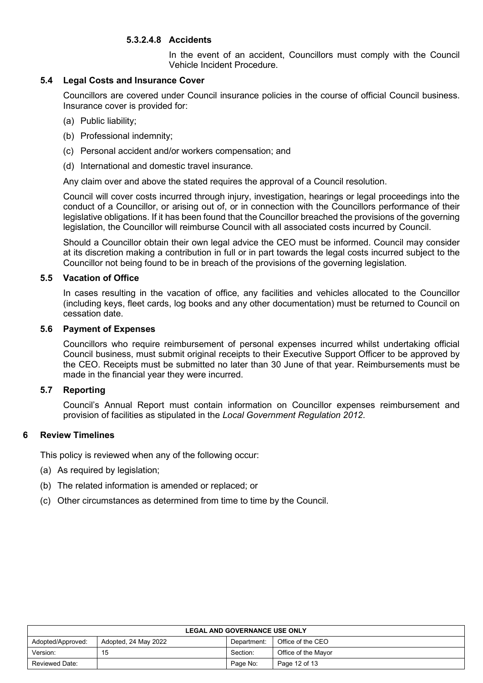## **5.3.2.4.8 Accidents**

In the event of an accident, Councillors must comply with the Council Vehicle Incident Procedure.

## **5.4 Legal Costs and Insurance Cover**

Councillors are covered under Council insurance policies in the course of official Council business. Insurance cover is provided for:

- (a) Public liability;
- (b) Professional indemnity;
- (c) Personal accident and/or workers compensation; and
- (d) International and domestic travel insurance.

Any claim over and above the stated requires the approval of a Council resolution.

Council will cover costs incurred through injury, investigation, hearings or legal proceedings into the conduct of a Councillor, or arising out of, or in connection with the Councillors performance of their legislative obligations. If it has been found that the Councillor breached the provisions of the governing legislation, the Councillor will reimburse Council with all associated costs incurred by Council.

Should a Councillor obtain their own legal advice the CEO must be informed. Council may consider at its discretion making a contribution in full or in part towards the legal costs incurred subject to the Councillor not being found to be in breach of the provisions of the governing legislation*.*

#### **5.5 Vacation of Office**

In cases resulting in the vacation of office, any facilities and vehicles allocated to the Councillor (including keys, fleet cards, log books and any other documentation) must be returned to Council on cessation date.

#### **5.6 Payment of Expenses**

Councillors who require reimbursement of personal expenses incurred whilst undertaking official Council business, must submit original receipts to their Executive Support Officer to be approved by the CEO. Receipts must be submitted no later than 30 June of that year. Reimbursements must be made in the financial year they were incurred.

## **5.7 Reporting**

Council's Annual Report must contain information on Councillor expenses reimbursement and provision of facilities as stipulated in the *Local Government Regulation 2012*.

## **6 Review Timelines**

This policy is reviewed when any of the following occur:

- (a) As required by legislation;
- (b) The related information is amended or replaced; or
- (c) Other circumstances as determined from time to time by the Council.

| <b>LEGAL AND GOVERNANCE USE ONLY</b> |                      |             |                     |  |  |
|--------------------------------------|----------------------|-------------|---------------------|--|--|
| Adopted/Approved:                    | Adopted, 24 May 2022 | Department: | Office of the CEO   |  |  |
| Version:                             | 15                   | Section:    | Office of the Mayor |  |  |
| Reviewed Date:                       |                      | Page No:    | Page 12 of 13       |  |  |